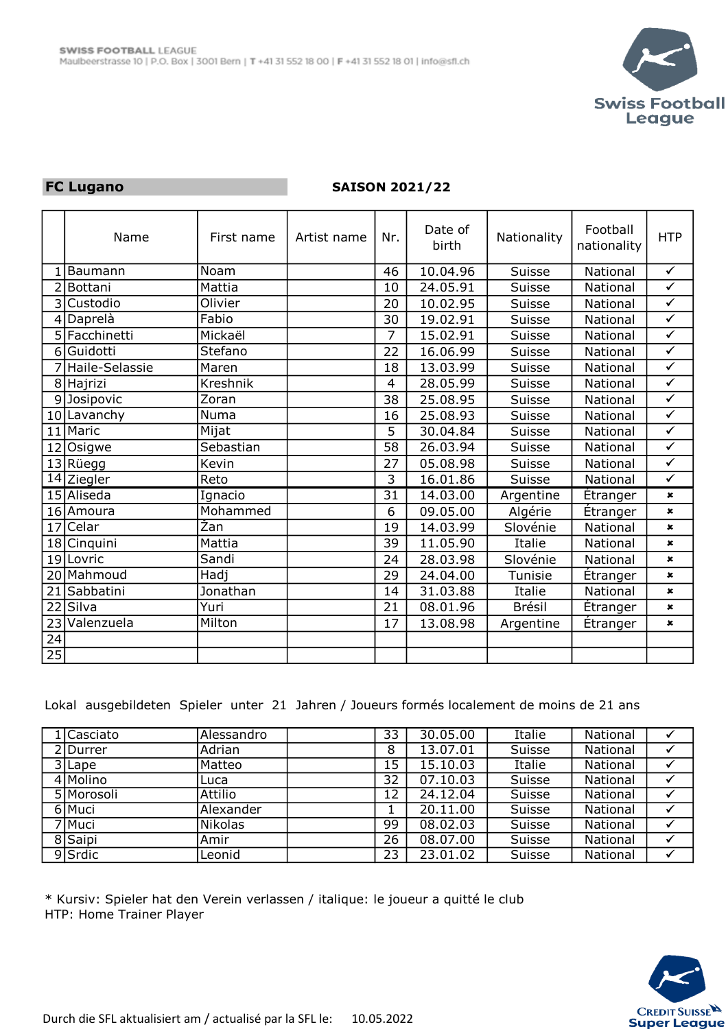

## FC Lugano

## SAISON 2021/22

|                          | Name             | First name | Artist name | Nr.             | Date of<br>birth | Nationality   | Football<br>nationality | <b>HTP</b>     |
|--------------------------|------------------|------------|-------------|-----------------|------------------|---------------|-------------------------|----------------|
|                          | Baumann          | Noam       |             | 46              | 10.04.96         | Suisse        | <b>National</b>         | $\checkmark$   |
| $\overline{\phantom{a}}$ | <b>Bottani</b>   | Mattia     |             | 10              | 24.05.91         | Suisse        | National                | $\checkmark$   |
| 3                        | Custodio         | Olivier    |             | 20              | 10.02.95         | Suisse        | National                | $\checkmark$   |
|                          | $4$  Daprela     | Fabio      |             | 30              | 19.02.91         | Suisse        | National                | $\checkmark$   |
|                          | 5 Facchinetti    | Mickaël    |             | 7               | 15.02.91         | Suisse        | National                | $\checkmark$   |
| 6                        | lGuidotti        | Stefano    |             | 22              | 16.06.99         | Suisse        | <b>National</b>         | $\checkmark$   |
|                          | 7 Haile-Selassie | Maren      |             | 18              | 13.03.99         | Suisse        | National                | $\checkmark$   |
|                          | 8 Hajrizi        | Kreshnik   |             | 4               | 28.05.99         | Suisse        | National                | $\checkmark$   |
|                          | 9Josipovic       | Zoran      |             | 38              | 25.08.95         | Suisse        | National                | $\checkmark$   |
|                          | 10 Lavanchy      | Numa       |             | 16              | 25.08.93         | Suisse        | National                | $\checkmark$   |
| 11                       | Maric            | Mijat      |             | 5               | 30.04.84         | Suisse        | National                | $\checkmark$   |
| 12                       | Osigwe           | Sebastian  |             | 58              | 26.03.94         | Suisse        | National                | $\checkmark$   |
|                          | 13 Rüegg         | Kevin      |             | 27              | 05.08.98         | Suisse        | National                | $\checkmark$   |
| 14                       | Ziegler          | Reto       |             | 3               | 16.01.86         | Suisse        | National                | $\checkmark$   |
|                          | 15 Aliseda       | Ignacio    |             | $\overline{31}$ | 14.03.00         | Argentine     | <b>Étranger</b>         | $\pmb{\times}$ |
|                          | 16 Amoura        | Mohammed   |             | 6               | 09.05.00         | Algérie       | Étranger                | $\pmb{\times}$ |
| 17                       | Celar            | Žan        |             | 19              | 14.03.99         | Slovénie      | National                | $\pmb{\times}$ |
| 18                       | Cinquini         | Mattia     |             | 39              | 11.05.90         | Italie        | National                | $\pmb{\times}$ |
| 19                       | Lovric           | Sandi      |             | 24              | 28.03.98         | Slovénie      | National                | $\pmb{\times}$ |
| 20                       | Mahmoud          | Hadj       |             | 29              | 24.04.00         | Tunisie       | Étranger                | $\pmb{\times}$ |
| 21                       | Sabbatini        | Jonathan   |             | 14              | 31.03.88         | Italie        | National                | $\pmb{\times}$ |
| 22                       | Silva            | Yuri       |             | 21              | 08.01.96         | <b>Brésil</b> | <b>Etranger</b>         | $\pmb{\times}$ |
| 23                       | Valenzuela       | Milton     |             | 17              | 13.08.98         | Argentine     | Étranger                | $\pmb{\times}$ |
| $\overline{24}$          |                  |            |             |                 |                  |               |                         |                |
| 25                       |                  |            |             |                 |                  |               |                         |                |

Lokal ausgebildeten Spieler unter 21 Jahren / Joueurs formés localement de moins de 21 ans

| 1 Casciato | Alessandro | 33 | 30.05.00 | Italie | National |  |
|------------|------------|----|----------|--------|----------|--|
| 2Durrer    | Adrian     | 8  | 13.07.01 | Suisse | National |  |
| 3 Lape     | l Matteo   | 15 | 15.10.03 | Italie | National |  |
| 4 Molino   | Luca       | 32 | 07.10.03 | Suisse | National |  |
| 5 Morosoli | Attilio    | 12 | 24.12.04 | Suisse | National |  |
| 6 Muci     | Alexander  |    | 20.11.00 | Suisse | National |  |
| 7 Muci     | l Nikolas  | 99 | 08.02.03 | Suisse | National |  |
| 8 Saipi    | Amir       | 26 | 08.07.00 | Suisse | National |  |
| 9 Srdic    | Leonid     | 23 | 23.01.02 | Suisse | National |  |

\* Kursiv: Spieler hat den Verein verlassen / italique: le joueur a quitté le club HTP: Home Trainer Player